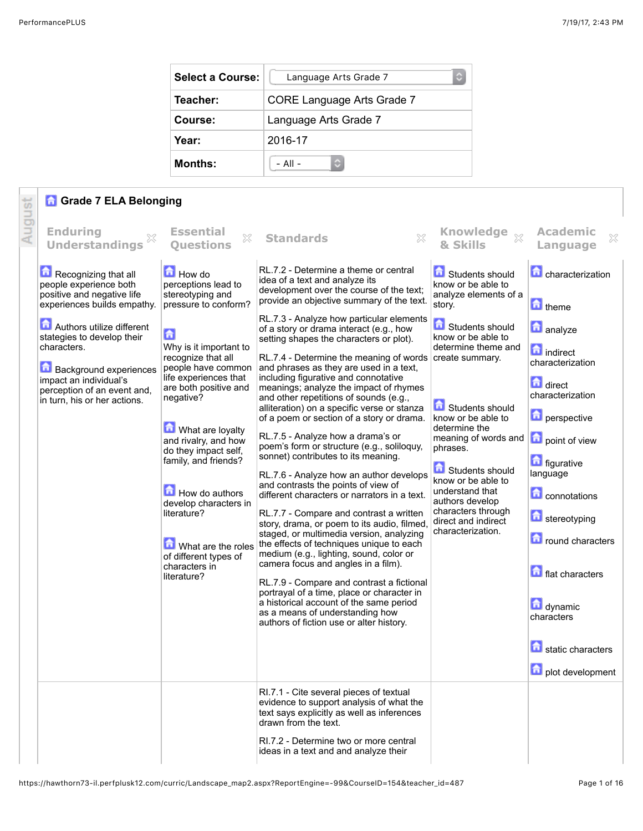| <b>Select a Course:</b> | ٥<br>Language Arts Grade 7        |
|-------------------------|-----------------------------------|
| Teacher:                | <b>CORE Language Arts Grade 7</b> |
| Course:                 | Language Arts Grade 7             |
| Year:                   | 2016-17                           |
| Months:                 | - All -                           |

## **Grade 7 ELA Belonging**

|        | <b>A</b> Grade 7 ELA Belonging                                                                                                                                                                                                  |                                                                                                                                                                                                                                                                                                                                                                             |                                                                                                                                                                                                                                                                                                                                                                                                                                                                                                                                                                                                                                                                                                                                                                                                                                                                                                                                                                                                                                                                                                                                   |                                                                                                                                                                                                                                                                                                                                                       |                                                                                                                                                                                                                                                    |
|--------|---------------------------------------------------------------------------------------------------------------------------------------------------------------------------------------------------------------------------------|-----------------------------------------------------------------------------------------------------------------------------------------------------------------------------------------------------------------------------------------------------------------------------------------------------------------------------------------------------------------------------|-----------------------------------------------------------------------------------------------------------------------------------------------------------------------------------------------------------------------------------------------------------------------------------------------------------------------------------------------------------------------------------------------------------------------------------------------------------------------------------------------------------------------------------------------------------------------------------------------------------------------------------------------------------------------------------------------------------------------------------------------------------------------------------------------------------------------------------------------------------------------------------------------------------------------------------------------------------------------------------------------------------------------------------------------------------------------------------------------------------------------------------|-------------------------------------------------------------------------------------------------------------------------------------------------------------------------------------------------------------------------------------------------------------------------------------------------------------------------------------------------------|----------------------------------------------------------------------------------------------------------------------------------------------------------------------------------------------------------------------------------------------------|
| August | <b>Enduring</b><br>X<br><b>Understandings</b>                                                                                                                                                                                   | <b>Essential</b><br>×<br><b>Ouestions</b>                                                                                                                                                                                                                                                                                                                                   | 53<br><b>Standards</b>                                                                                                                                                                                                                                                                                                                                                                                                                                                                                                                                                                                                                                                                                                                                                                                                                                                                                                                                                                                                                                                                                                            | Knowledge xx<br>& Skills                                                                                                                                                                                                                                                                                                                              | <b>Academic</b><br>×<br>Language                                                                                                                                                                                                                   |
|        | Recognizing that all<br>people experience both<br>positive and negative life                                                                                                                                                    | How do<br>perceptions lead to<br>stereotyping and<br>pressure to conform?                                                                                                                                                                                                                                                                                                   | RL.7.2 - Determine a theme or central<br>idea of a text and analyze its<br>development over the course of the text;<br>provide an objective summary of the text.                                                                                                                                                                                                                                                                                                                                                                                                                                                                                                                                                                                                                                                                                                                                                                                                                                                                                                                                                                  | Students should<br>know or be able to<br>analyze elements of a                                                                                                                                                                                                                                                                                        | characterization                                                                                                                                                                                                                                   |
|        | experiences builds empathy.<br>Authors utilize different<br>stategies to develop their<br>characters.<br><b>Background experiences</b><br>impact an individual's<br>perception of an event and,<br>in turn, his or her actions. | 6<br>Why is it important to<br>recognize that all<br>people have common<br>life experiences that<br>are both positive and<br>negative?<br>What are loyalty<br>and rivalry, and how<br>do they impact self,<br>family, and friends?<br>How do authors<br>develop characters in<br>literature?<br>What are the roles<br>of different types of<br>characters in<br>literature? | RL.7.3 - Analyze how particular elements<br>of a story or drama interact (e.g., how<br>setting shapes the characters or plot).<br>RL.7.4 - Determine the meaning of words create summary.<br>and phrases as they are used in a text,<br>including figurative and connotative<br>meanings; analyze the impact of rhymes<br>and other repetitions of sounds (e.g.,<br>alliteration) on a specific verse or stanza<br>of a poem or section of a story or drama.<br>RL.7.5 - Analyze how a drama's or<br>poem's form or structure (e.g., soliloquy,<br>sonnet) contributes to its meaning.<br>RL.7.6 - Analyze how an author develops<br>and contrasts the points of view of<br>different characters or narrators in a text.<br>RL.7.7 - Compare and contrast a written<br>story, drama, or poem to its audio, filmed<br>staged, or multimedia version, analyzing<br>the effects of techniques unique to each<br>medium (e.g., lighting, sound, color or<br>camera focus and angles in a film).<br>RL.7.9 - Compare and contrast a fictional<br>portrayal of a time, place or character in<br>a historical account of the same period | story.<br><b>f</b> Students should<br>know or be able to<br>determine theme and<br>Students should<br>know or be able to<br>determine the<br>meaning of words and <b>D</b> point of view<br>phrases.<br>Students should<br>know or be able to<br>understand that<br>authors develop<br>characters through<br>direct and indirect<br>characterization. | theme<br><b>n</b> analyze<br><b>n</b> indirect<br>characterization<br>direct<br>characterization<br><b>n</b> perspective<br><b>n</b> figurative<br>language<br><b>Connotations</b><br>stereotyping<br><b>n</b> round characters<br>flat characters |
|        |                                                                                                                                                                                                                                 |                                                                                                                                                                                                                                                                                                                                                                             | as a means of understanding how<br>authors of fiction use or alter history.                                                                                                                                                                                                                                                                                                                                                                                                                                                                                                                                                                                                                                                                                                                                                                                                                                                                                                                                                                                                                                                       |                                                                                                                                                                                                                                                                                                                                                       | dynamic<br>characters<br>static characters<br>plot development                                                                                                                                                                                     |
|        |                                                                                                                                                                                                                                 |                                                                                                                                                                                                                                                                                                                                                                             | RI.7.1 - Cite several pieces of textual<br>evidence to support analysis of what the<br>text says explicitly as well as inferences<br>drawn from the text.<br>RI.7.2 - Determine two or more central                                                                                                                                                                                                                                                                                                                                                                                                                                                                                                                                                                                                                                                                                                                                                                                                                                                                                                                               |                                                                                                                                                                                                                                                                                                                                                       |                                                                                                                                                                                                                                                    |
|        |                                                                                                                                                                                                                                 |                                                                                                                                                                                                                                                                                                                                                                             | ideas in a text and and analyze their                                                                                                                                                                                                                                                                                                                                                                                                                                                                                                                                                                                                                                                                                                                                                                                                                                                                                                                                                                                                                                                                                             |                                                                                                                                                                                                                                                                                                                                                       |                                                                                                                                                                                                                                                    |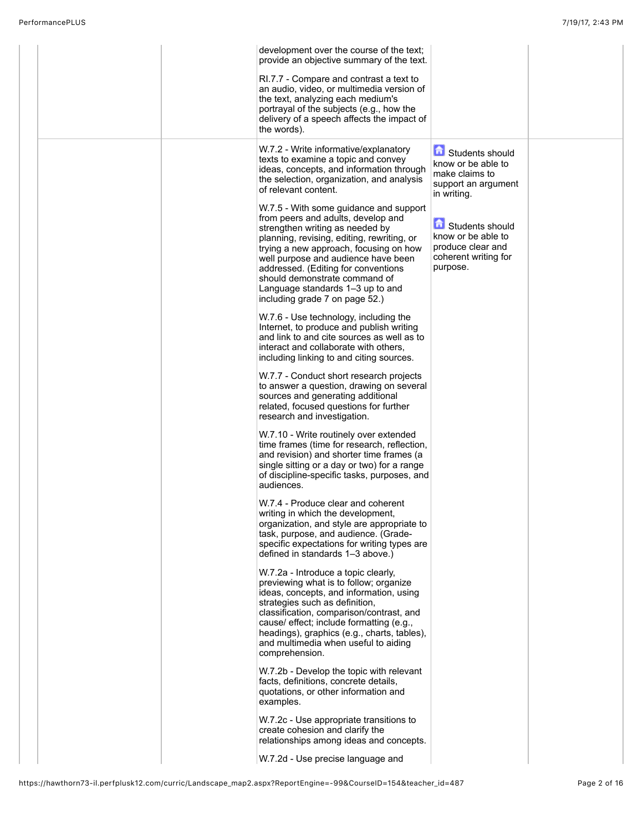| development over the course of the text;<br>provide an objective summary of the text.                                                                                                                                                                                                                                                                                                        |                                                                                                |  |
|----------------------------------------------------------------------------------------------------------------------------------------------------------------------------------------------------------------------------------------------------------------------------------------------------------------------------------------------------------------------------------------------|------------------------------------------------------------------------------------------------|--|
| RI.7.7 - Compare and contrast a text to<br>an audio, video, or multimedia version of<br>the text, analyzing each medium's<br>portrayal of the subjects (e.g., how the<br>delivery of a speech affects the impact of<br>the words).                                                                                                                                                           |                                                                                                |  |
| W.7.2 - Write informative/explanatory<br>texts to examine a topic and convey<br>ideas, concepts, and information through<br>the selection, organization, and analysis<br>of relevant content.                                                                                                                                                                                                | Students should<br>know or be able to<br>make claims to<br>support an argument<br>in writing.  |  |
| W.7.5 - With some guidance and support<br>from peers and adults, develop and<br>strengthen writing as needed by<br>planning, revising, editing, rewriting, or<br>trying a new approach, focusing on how<br>well purpose and audience have been<br>addressed. (Editing for conventions<br>should demonstrate command of<br>Language standards 1-3 up to and<br>including grade 7 on page 52.) | Students should<br>know or be able to<br>produce clear and<br>coherent writing for<br>purpose. |  |
| W.7.6 - Use technology, including the<br>Internet, to produce and publish writing<br>and link to and cite sources as well as to<br>interact and collaborate with others,<br>including linking to and citing sources.                                                                                                                                                                         |                                                                                                |  |
| W.7.7 - Conduct short research projects<br>to answer a question, drawing on several<br>sources and generating additional<br>related, focused questions for further<br>research and investigation.                                                                                                                                                                                            |                                                                                                |  |
| W.7.10 - Write routinely over extended<br>time frames (time for research, reflection,<br>and revision) and shorter time frames (a<br>single sitting or a day or two) for a range<br>of discipline-specific tasks, purposes, and<br>audiences.                                                                                                                                                |                                                                                                |  |
| W.7.4 - Produce clear and coherent<br>writing in which the development,<br>organization, and style are appropriate to<br>task, purpose, and audience. (Grade-<br>specific expectations for writing types are<br>defined in standards 1-3 above.)                                                                                                                                             |                                                                                                |  |
| W.7.2a - Introduce a topic clearly,<br>previewing what is to follow; organize<br>ideas, concepts, and information, using<br>strategies such as definition,<br>classification, comparison/contrast, and<br>cause/ effect; include formatting (e.g.,<br>headings), graphics (e.g., charts, tables),<br>and multimedia when useful to aiding<br>comprehension.                                  |                                                                                                |  |
| W.7.2b - Develop the topic with relevant<br>facts, definitions, concrete details,<br>quotations, or other information and<br>examples.                                                                                                                                                                                                                                                       |                                                                                                |  |
| W.7.2c - Use appropriate transitions to<br>create cohesion and clarify the<br>relationships among ideas and concepts.                                                                                                                                                                                                                                                                        |                                                                                                |  |
| W.7.2d - Use precise language and                                                                                                                                                                                                                                                                                                                                                            |                                                                                                |  |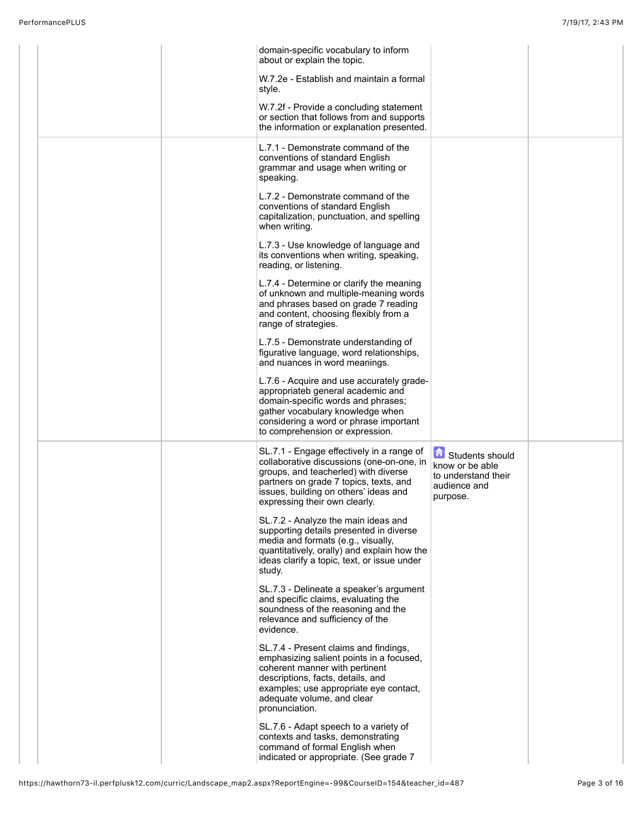|  | domain-specific vocabulary to inform<br>about or explain the topic.                                                                                                                                                                                |                                                                                                       |  |
|--|----------------------------------------------------------------------------------------------------------------------------------------------------------------------------------------------------------------------------------------------------|-------------------------------------------------------------------------------------------------------|--|
|  | W.7.2e - Establish and maintain a formal<br>style.                                                                                                                                                                                                 |                                                                                                       |  |
|  | W.7.2f - Provide a concluding statement<br>or section that follows from and supports<br>the information or explanation presented.                                                                                                                  |                                                                                                       |  |
|  | L.7.1 - Demonstrate command of the<br>conventions of standard English<br>grammar and usage when writing or<br>speaking.                                                                                                                            |                                                                                                       |  |
|  | L.7.2 - Demonstrate command of the<br>conventions of standard English<br>capitalization, punctuation, and spelling<br>when writing.                                                                                                                |                                                                                                       |  |
|  | L.7.3 - Use knowledge of language and<br>its conventions when writing, speaking,<br>reading, or listening.                                                                                                                                         |                                                                                                       |  |
|  | L.7.4 - Determine or clarify the meaning<br>of unknown and multiple-meaning words<br>and phrases based on grade 7 reading<br>and content, choosing flexibly from a<br>range of strategies.                                                         |                                                                                                       |  |
|  | L.7.5 - Demonstrate understanding of<br>figurative language, word relationships,<br>and nuances in word meanings.                                                                                                                                  |                                                                                                       |  |
|  | L.7.6 - Acquire and use accurately grade-<br>appropriateb general academic and<br>domain-specific words and phrases;<br>gather vocabulary knowledge when<br>considering a word or phrase important<br>to comprehension or expression.              |                                                                                                       |  |
|  | SL.7.1 - Engage effectively in a range of<br>collaborative discussions (one-on-one, in<br>groups, and teacherled) with diverse<br>partners on grade 7 topics, texts, and<br>issues, building on others' ideas and<br>expressing their own clearly. | <b>Contract Students should</b><br>know or be able<br>to understand their<br>audience and<br>purpose. |  |
|  | SL.7.2 - Analyze the main ideas and<br>supporting details presented in diverse<br>media and formats (e.g., visually,<br>quantitatively, orally) and explain how the<br>ideas clarify a topic, text, or issue under<br>study.                       |                                                                                                       |  |
|  | SL.7.3 - Delineate a speaker's argument<br>and specific claims, evaluating the<br>soundness of the reasoning and the<br>relevance and sufficiency of the<br>evidence.                                                                              |                                                                                                       |  |
|  | SL.7.4 - Present claims and findings,<br>emphasizing salient points in a focused,<br>coherent manner with pertinent<br>descriptions, facts, details, and<br>examples; use appropriate eye contact,<br>adequate volume, and clear<br>pronunciation. |                                                                                                       |  |
|  | SL.7.6 - Adapt speech to a variety of<br>contexts and tasks, demonstrating<br>command of formal English when<br>indicated or appropriate. (See grade 7                                                                                             |                                                                                                       |  |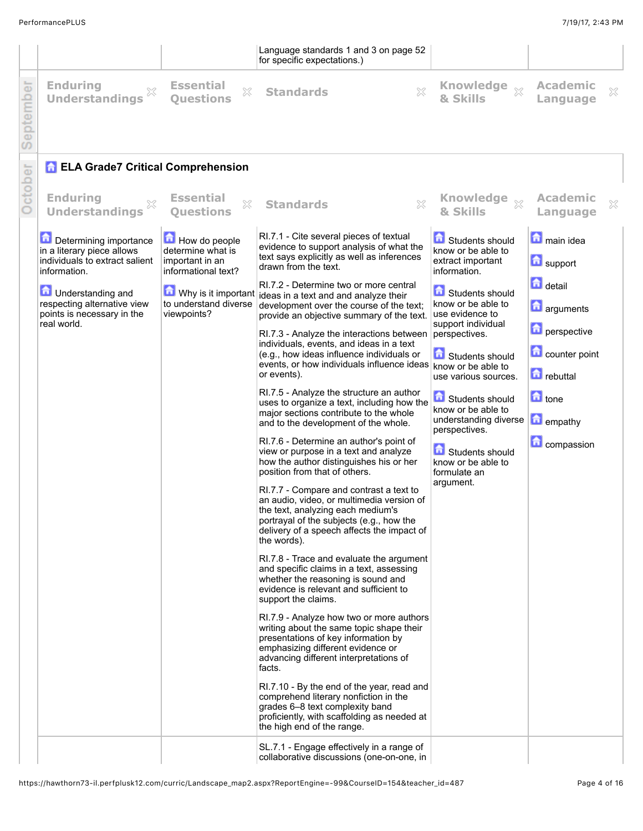|          |                                                                                                                                                                                                                                                                                                                 |                                                                                                                                                                   | Language standards 1 and 3 on page 52<br>for specific expectations.)                                                                                                                                                                                                                                                                                                                                                                                                                                                                                                                                                                                                                                                                                                                                                                                                                                                                                                                                                                                                                                                                                                                                     |                                                                                                                                                                                                                                                                                                                                                                                                       |                                                                                                                                                                                                                      |              |
|----------|-----------------------------------------------------------------------------------------------------------------------------------------------------------------------------------------------------------------------------------------------------------------------------------------------------------------|-------------------------------------------------------------------------------------------------------------------------------------------------------------------|----------------------------------------------------------------------------------------------------------------------------------------------------------------------------------------------------------------------------------------------------------------------------------------------------------------------------------------------------------------------------------------------------------------------------------------------------------------------------------------------------------------------------------------------------------------------------------------------------------------------------------------------------------------------------------------------------------------------------------------------------------------------------------------------------------------------------------------------------------------------------------------------------------------------------------------------------------------------------------------------------------------------------------------------------------------------------------------------------------------------------------------------------------------------------------------------------------|-------------------------------------------------------------------------------------------------------------------------------------------------------------------------------------------------------------------------------------------------------------------------------------------------------------------------------------------------------------------------------------------------------|----------------------------------------------------------------------------------------------------------------------------------------------------------------------------------------------------------------------|--------------|
| eptember | <b>Enduring</b><br>×<br><b>Understandings</b>                                                                                                                                                                                                                                                                   | <b>Essential</b><br>×<br><b>Ouestions</b>                                                                                                                         | 53<br><b>Standards</b>                                                                                                                                                                                                                                                                                                                                                                                                                                                                                                                                                                                                                                                                                                                                                                                                                                                                                                                                                                                                                                                                                                                                                                                   | & Skills                                                                                                                                                                                                                                                                                                                                                                                              | <b>Academic</b><br>Language                                                                                                                                                                                          | ×            |
| ctober   | <b>A ELA Grade7 Critical Comprehension</b><br><b>Enduring</b><br>X<br><b>Understandings</b><br>Determining importance<br>in a literary piece allows<br>individuals to extract salient<br>information.<br><b>n</b> Understanding and<br>respecting alternative view<br>points is necessary in the<br>real world. | <b>Essential</b><br>×<br><b>Questions</b><br>How do people<br>determine what is<br>important in an<br>informational text?<br>to understand diverse<br>viewpoints? | X<br><b>Standards</b><br>RI.7.1 - Cite several pieces of textual<br>evidence to support analysis of what the<br>text says explicitly as well as inferences<br>drawn from the text.<br>RI.7.2 - Determine two or more central<br>$\blacksquare$ Why is it important ideas in a text and and analyze their<br>development over the course of the text;<br>provide an objective summary of the text.<br>RI.7.3 - Analyze the interactions between perspectives.<br>individuals, events, and ideas in a text<br>(e.g., how ideas influence individuals or<br>events, or how individuals influence ideas know or be able to<br>or events).<br>RI.7.5 - Analyze the structure an author<br>uses to organize a text, including how the<br>major sections contribute to the whole<br>and to the development of the whole.<br>RI.7.6 - Determine an author's point of<br>view or purpose in a text and analyze<br>how the author distinguishes his or her<br>position from that of others.<br>RI.7.7 - Compare and contrast a text to<br>an audio, video, or multimedia version of<br>the text, analyzing each medium's<br>portrayal of the subjects (e.g., how the<br>delivery of a speech affects the impact of | Knowledge xx<br>& Skills<br>Students should<br>know or be able to<br>extract important<br>information.<br>Students should<br>know or be able to<br>use evidence to<br>support individual<br>Students should<br>use various sources.<br><b>f</b> Students should<br>know or be able to<br>understanding diverse<br>perspectives.<br>Students should<br>know or be able to<br>formulate an<br>argument. | <b>Academic</b><br>Language<br>main idea<br>support<br><b>d</b> detail<br><b>n</b> arguments<br><b>D</b> perspective<br>counter point<br><b>D</b> rebuttal<br>$\Box$ tone<br><b>n</b> empathy<br><b>C</b> compassion | $\mathbb{X}$ |
|          |                                                                                                                                                                                                                                                                                                                 |                                                                                                                                                                   | the words).<br>RI.7.8 - Trace and evaluate the argument<br>and specific claims in a text, assessing<br>whether the reasoning is sound and<br>evidence is relevant and sufficient to<br>support the claims.<br>RI.7.9 - Analyze how two or more authors<br>writing about the same topic shape their<br>presentations of key information by<br>emphasizing different evidence or<br>advancing different interpretations of<br>facts.<br>RI.7.10 - By the end of the year, read and<br>comprehend literary nonfiction in the<br>grades 6-8 text complexity band<br>proficiently, with scaffolding as needed at<br>the high end of the range.<br>SL.7.1 - Engage effectively in a range of<br>collaborative discussions (one-on-one, in                                                                                                                                                                                                                                                                                                                                                                                                                                                                      |                                                                                                                                                                                                                                                                                                                                                                                                       |                                                                                                                                                                                                                      |              |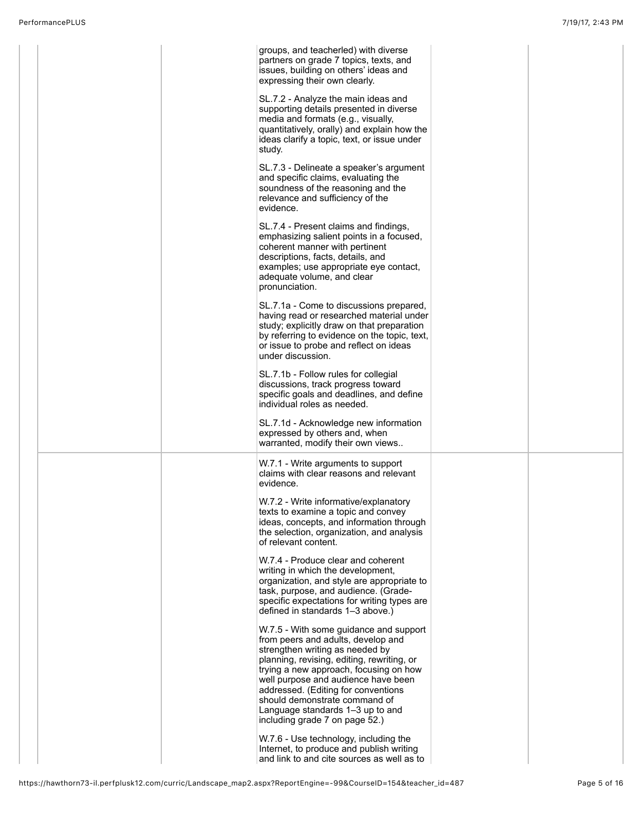|  | groups, and teacherled) with diverse<br>partners on grade 7 topics, texts, and<br>issues, building on others' ideas and<br>expressing their own clearly.                                                                                           |  |  |
|--|----------------------------------------------------------------------------------------------------------------------------------------------------------------------------------------------------------------------------------------------------|--|--|
|  | SL.7.2 - Analyze the main ideas and<br>supporting details presented in diverse<br>media and formats (e.g., visually,<br>quantitatively, orally) and explain how the<br>ideas clarify a topic, text, or issue under<br>study.                       |  |  |
|  | SL.7.3 - Delineate a speaker's argument<br>and specific claims, evaluating the<br>soundness of the reasoning and the<br>relevance and sufficiency of the<br>evidence.                                                                              |  |  |
|  | SL.7.4 - Present claims and findings,<br>emphasizing salient points in a focused,<br>coherent manner with pertinent<br>descriptions, facts, details, and<br>examples; use appropriate eye contact,<br>adequate volume, and clear<br>pronunciation. |  |  |
|  | SL.7.1a - Come to discussions prepared,<br>having read or researched material under<br>study; explicitly draw on that preparation<br>by referring to evidence on the topic, text,<br>or issue to probe and reflect on ideas<br>under discussion.   |  |  |
|  | SL.7.1b - Follow rules for collegial<br>discussions, track progress toward<br>specific goals and deadlines, and define<br>individual roles as needed.                                                                                              |  |  |
|  | SL.7.1d - Acknowledge new information<br>expressed by others and, when<br>warranted, modify their own views                                                                                                                                        |  |  |
|  | W.7.1 - Write arguments to support<br>claims with clear reasons and relevant<br>evidence.                                                                                                                                                          |  |  |
|  | W.7.2 - Write informative/explanatory<br>texts to examine a topic and convey<br>ideas, concepts, and information through<br>the selection, organization, and analysis<br>of relevant content.                                                      |  |  |
|  | W.7.4 - Produce clear and coherent<br>writing in which the development,<br>organization, and style are appropriate to<br>task, purpose, and audience. (Grade-<br>specific expectations for writing types are<br>defined in standards 1-3 above.)   |  |  |
|  | W.7.5 - With some guidance and support<br>from peers and adults, develop and<br>strengthen writing as needed by<br>planning, revising, editing, rewriting, or<br>trying a new approach, focusing on how                                            |  |  |
|  | well purpose and audience have been<br>addressed. (Editing for conventions<br>should demonstrate command of<br>Language standards 1-3 up to and<br>including grade 7 on page 52.)                                                                  |  |  |
|  | W.7.6 - Use technology, including the<br>Internet, to produce and publish writing<br>and link to and cite sources as well as to                                                                                                                    |  |  |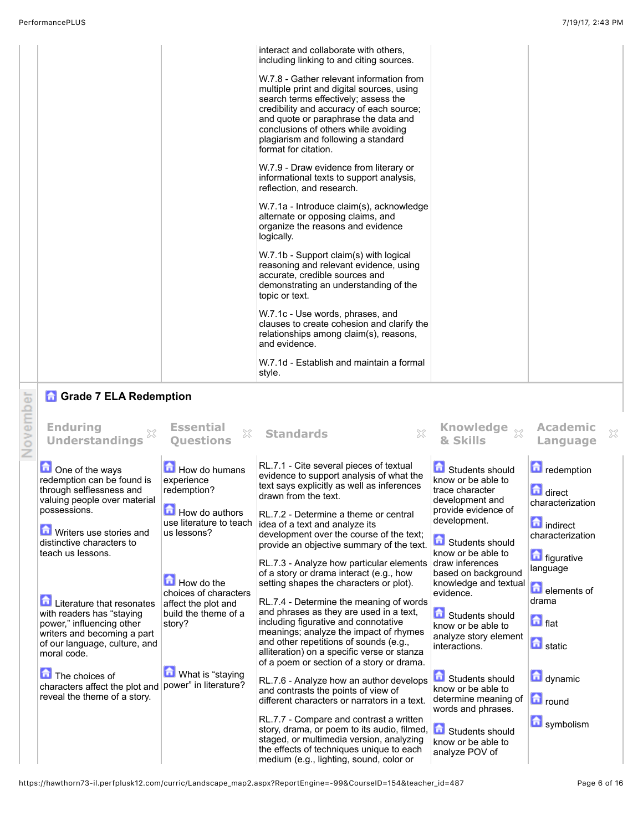|                                 | interact and collaborate with others,<br>including linking to and citing sources.                                                                                                                                                                                                                                        |
|---------------------------------|--------------------------------------------------------------------------------------------------------------------------------------------------------------------------------------------------------------------------------------------------------------------------------------------------------------------------|
|                                 | W.7.8 - Gather relevant information from<br>multiple print and digital sources, using<br>search terms effectively; assess the<br>credibility and accuracy of each source;<br>and quote or paraphrase the data and<br>conclusions of others while avoiding<br>plagiarism and following a standard<br>format for citation. |
|                                 | W.7.9 - Draw evidence from literary or<br>informational texts to support analysis,<br>reflection, and research.                                                                                                                                                                                                          |
|                                 | W.7.1a - Introduce claim(s), acknowledge<br>alternate or opposing claims, and<br>organize the reasons and evidence<br>logically.                                                                                                                                                                                         |
|                                 | W.7.1b - Support claim(s) with logical<br>reasoning and relevant evidence, using<br>accurate, credible sources and<br>demonstrating an understanding of the<br>topic or text.                                                                                                                                            |
|                                 | W.7.1c - Use words, phrases, and<br>clauses to create cohesion and clarify the<br>relationships among claim(s), reasons,<br>and evidence.                                                                                                                                                                                |
|                                 | W.7.1d - Establish and maintain a formal<br>style.                                                                                                                                                                                                                                                                       |
| <b>A</b> Grade 7 ELA Redemption |                                                                                                                                                                                                                                                                                                                          |

|          | <b>A</b> Grade 7 ELA Redemption                                                                                                                                                                                                                                                                                                                                                                                                                                                                          |                                                                                                                                                                                                                                                           |                                                                                                                                                                                                                                                                                                                                                                                                                                                                                                                                                                                                                                                                                                                                                                                                                                                                                                                                                                                                                                                       |                                                                                                                                                                                                                                                                                                                                                                                                                                                                                    |                                                                                                                                                                                                                                   |
|----------|----------------------------------------------------------------------------------------------------------------------------------------------------------------------------------------------------------------------------------------------------------------------------------------------------------------------------------------------------------------------------------------------------------------------------------------------------------------------------------------------------------|-----------------------------------------------------------------------------------------------------------------------------------------------------------------------------------------------------------------------------------------------------------|-------------------------------------------------------------------------------------------------------------------------------------------------------------------------------------------------------------------------------------------------------------------------------------------------------------------------------------------------------------------------------------------------------------------------------------------------------------------------------------------------------------------------------------------------------------------------------------------------------------------------------------------------------------------------------------------------------------------------------------------------------------------------------------------------------------------------------------------------------------------------------------------------------------------------------------------------------------------------------------------------------------------------------------------------------|------------------------------------------------------------------------------------------------------------------------------------------------------------------------------------------------------------------------------------------------------------------------------------------------------------------------------------------------------------------------------------------------------------------------------------------------------------------------------------|-----------------------------------------------------------------------------------------------------------------------------------------------------------------------------------------------------------------------------------|
| November | <b>Enduring</b><br><b>Understandings</b>                                                                                                                                                                                                                                                                                                                                                                                                                                                                 | <b>Essential</b><br>X<br><b>Ouestions</b>                                                                                                                                                                                                                 | X<br><b>Standards</b>                                                                                                                                                                                                                                                                                                                                                                                                                                                                                                                                                                                                                                                                                                                                                                                                                                                                                                                                                                                                                                 | <b>Knowledge</b><br>$\mathbb{X}$<br>& Skills                                                                                                                                                                                                                                                                                                                                                                                                                                       | <b>Academic</b><br>×<br>Language                                                                                                                                                                                                  |
|          | One of the ways<br>redemption can be found is<br>through selflessness and<br>valuing people over material<br>possessions.<br><b>D</b> Writers use stories and<br>distinctive characters to<br>teach us lessons.<br><b>Literature that resonates</b><br>with readers has "staying<br>power," influencing other<br>writers and becoming a part<br>of our language, culture, and<br>moral code.<br>The choices of<br>characters affect the plot and   power" in literature?<br>reveal the theme of a story. | <b>E</b> How do humans<br>experience<br>redemption?<br>How do authors<br>use literature to teach<br>us lessons?<br>$\blacksquare$ How do the<br>choices of characters<br>affect the plot and<br>build the theme of a<br>story?<br><b>What is "staying</b> | RL.7.1 - Cite several pieces of textual<br>evidence to support analysis of what the<br>text says explicitly as well as inferences<br>drawn from the text.<br>RL.7.2 - Determine a theme or central<br>idea of a text and analyze its<br>development over the course of the text;<br>provide an objective summary of the text.<br>RL.7.3 - Analyze how particular elements<br>of a story or drama interact (e.g., how<br>setting shapes the characters or plot).<br>RL.7.4 - Determine the meaning of words<br>and phrases as they are used in a text,<br>including figurative and connotative<br>meanings; analyze the impact of rhymes<br>and other repetitions of sounds (e.g.,<br>alliteration) on a specific verse or stanza<br>of a poem or section of a story or drama.<br>RL.7.6 - Analyze how an author develops<br>and contrasts the points of view of<br>different characters or narrators in a text.<br>RL.7.7 - Compare and contrast a written<br>story, drama, or poem to its audio, filmed.<br>staged, or multimedia version, analyzing | Students should<br>know or be able to<br>trace character<br>development and<br>provide evidence of<br>development.<br>Students should<br>know or be able to<br>draw inferences<br>based on background<br>knowledge and textual<br>evidence.<br>命<br>Students should<br>know or be able to<br>analyze story element<br>interactions.<br>Students should<br>know or be able to<br>determine meaning of<br>words and phrases.<br><b>Contact Students should</b><br>know or be able to | redemption<br>direct<br>characterization<br><b>n</b> indirect<br>characterization<br><b>n</b> figurative<br>language<br>delements of<br>drama<br>$\blacksquare$ flat<br><b>n</b> static<br>dynamic<br><b>n</b> round<br>symbolism |
|          |                                                                                                                                                                                                                                                                                                                                                                                                                                                                                                          |                                                                                                                                                                                                                                                           | the effects of techniques unique to each<br>medium (e.g., lighting, sound, color or                                                                                                                                                                                                                                                                                                                                                                                                                                                                                                                                                                                                                                                                                                                                                                                                                                                                                                                                                                   | analyze POV of                                                                                                                                                                                                                                                                                                                                                                                                                                                                     |                                                                                                                                                                                                                                   |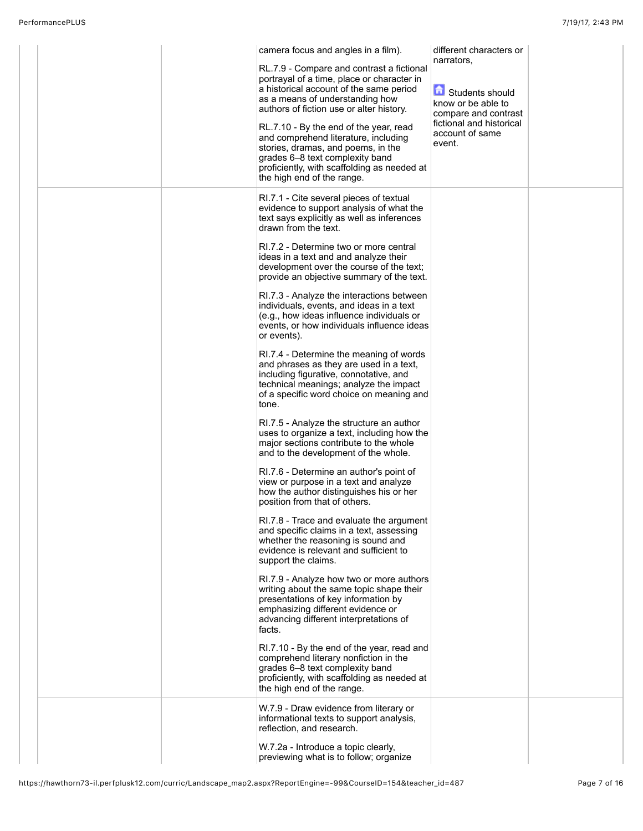|  | camera focus and angles in a film).<br>RL.7.9 - Compare and contrast a fictional                                                                                                                                                     | different characters or<br>narrators.                              |  |
|--|--------------------------------------------------------------------------------------------------------------------------------------------------------------------------------------------------------------------------------------|--------------------------------------------------------------------|--|
|  | portrayal of a time, place or character in<br>a historical account of the same period<br>as a means of understanding how<br>authors of fiction use or alter history.                                                                 | 命<br>Students should<br>know or be able to<br>compare and contrast |  |
|  | RL.7.10 - By the end of the year, read<br>and comprehend literature, including<br>stories, dramas, and poems, in the<br>grades 6-8 text complexity band<br>proficiently, with scaffolding as needed at<br>the high end of the range. | fictional and historical<br>account of same<br>event.              |  |
|  | RI.7.1 - Cite several pieces of textual<br>evidence to support analysis of what the<br>text says explicitly as well as inferences<br>drawn from the text.                                                                            |                                                                    |  |
|  | RI.7.2 - Determine two or more central<br>ideas in a text and and analyze their<br>development over the course of the text;<br>provide an objective summary of the text.                                                             |                                                                    |  |
|  | RI.7.3 - Analyze the interactions between<br>individuals, events, and ideas in a text<br>(e.g., how ideas influence individuals or<br>events, or how individuals influence ideas<br>or events).                                      |                                                                    |  |
|  | RI.7.4 - Determine the meaning of words<br>and phrases as they are used in a text,<br>including figurative, connotative, and<br>technical meanings; analyze the impact<br>of a specific word choice on meaning and<br>tone.          |                                                                    |  |
|  | RI.7.5 - Analyze the structure an author<br>uses to organize a text, including how the<br>major sections contribute to the whole<br>and to the development of the whole.                                                             |                                                                    |  |
|  | RI.7.6 - Determine an author's point of<br>view or purpose in a text and analyze<br>how the author distinguishes his or her<br>position from that of others.                                                                         |                                                                    |  |
|  | RI.7.8 - Trace and evaluate the argument<br>and specific claims in a text, assessing<br>whether the reasoning is sound and<br>evidence is relevant and sufficient to<br>support the claims.                                          |                                                                    |  |
|  | RI.7.9 - Analyze how two or more authors<br>writing about the same topic shape their<br>presentations of key information by<br>emphasizing different evidence or<br>advancing different interpretations of<br>facts.                 |                                                                    |  |
|  | RI.7.10 - By the end of the year, read and<br>comprehend literary nonfiction in the<br>grades 6-8 text complexity band<br>proficiently, with scaffolding as needed at<br>the high end of the range.                                  |                                                                    |  |
|  | W.7.9 - Draw evidence from literary or<br>informational texts to support analysis,<br>reflection, and research.                                                                                                                      |                                                                    |  |
|  | W.7.2a - Introduce a topic clearly,<br>previewing what is to follow; organize                                                                                                                                                        |                                                                    |  |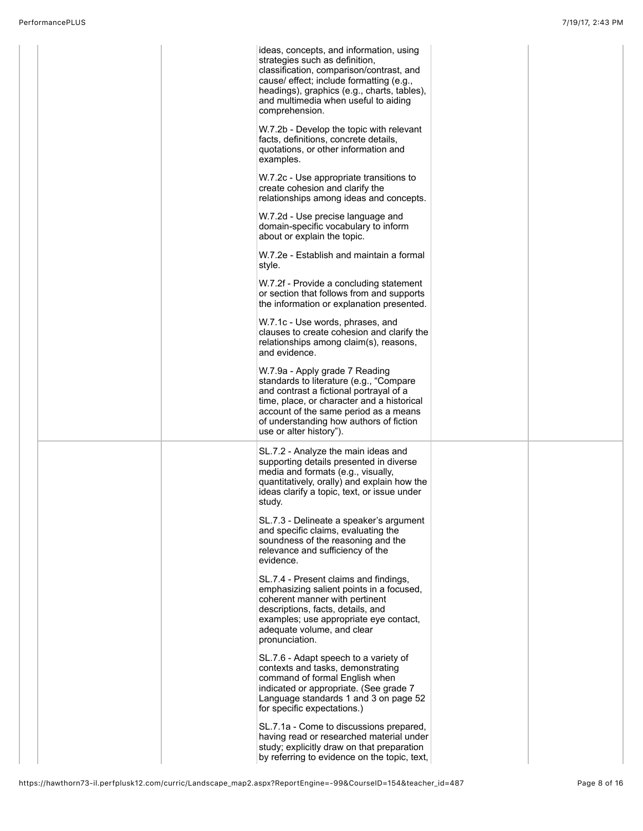|  | ideas, concepts, and information, using<br>strategies such as definition,<br>classification, comparison/contrast, and<br>cause/ effect; include formatting (e.g.,<br>headings), graphics (e.g., charts, tables),<br>and multimedia when useful to aiding<br>comprehension.        |  |
|--|-----------------------------------------------------------------------------------------------------------------------------------------------------------------------------------------------------------------------------------------------------------------------------------|--|
|  | W.7.2b - Develop the topic with relevant<br>facts, definitions, concrete details,<br>quotations, or other information and<br>examples.                                                                                                                                            |  |
|  | W.7.2c - Use appropriate transitions to<br>create cohesion and clarify the<br>relationships among ideas and concepts.                                                                                                                                                             |  |
|  | W.7.2d - Use precise language and<br>domain-specific vocabulary to inform<br>about or explain the topic.                                                                                                                                                                          |  |
|  | W.7.2e - Establish and maintain a formal<br>style.                                                                                                                                                                                                                                |  |
|  | W.7.2f - Provide a concluding statement<br>or section that follows from and supports<br>the information or explanation presented.                                                                                                                                                 |  |
|  | W.7.1c - Use words, phrases, and<br>clauses to create cohesion and clarify the<br>relationships among claim(s), reasons,<br>and evidence.                                                                                                                                         |  |
|  | W.7.9a - Apply grade 7 Reading<br>standards to literature (e.g., "Compare<br>and contrast a fictional portrayal of a<br>time, place, or character and a historical<br>account of the same period as a means<br>of understanding how authors of fiction<br>use or alter history"). |  |
|  | SL.7.2 - Analyze the main ideas and<br>supporting details presented in diverse<br>media and formats (e.g., visually,<br>quantitatively, orally) and explain how the<br>ideas clarify a topic, text, or issue under<br>study.                                                      |  |
|  | SL.7.3 - Delineate a speaker's argument<br>and specific claims, evaluating the<br>soundness of the reasoning and the<br>relevance and sufficiency of the<br>evidence.                                                                                                             |  |
|  | SL.7.4 - Present claims and findings,<br>emphasizing salient points in a focused,<br>coherent manner with pertinent<br>descriptions, facts, details, and<br>examples; use appropriate eye contact,<br>adequate volume, and clear<br>pronunciation.                                |  |
|  | SL.7.6 - Adapt speech to a variety of<br>contexts and tasks, demonstrating<br>command of formal English when<br>indicated or appropriate. (See grade 7<br>Language standards 1 and 3 on page 52<br>for specific expectations.)                                                    |  |
|  | SL.7.1a - Come to discussions prepared,<br>having read or researched material under<br>study; explicitly draw on that preparation<br>by referring to evidence on the topic, text,                                                                                                 |  |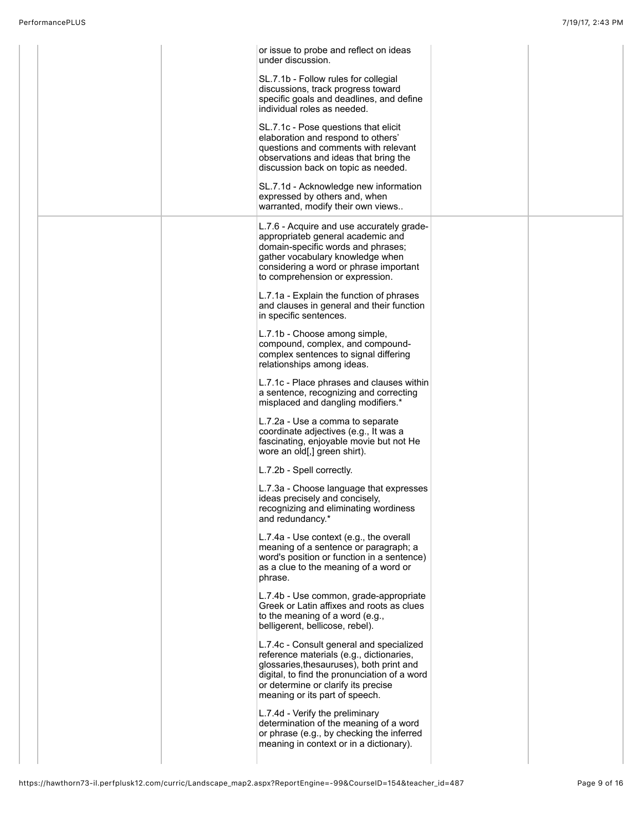|  | or issue to probe and reflect on ideas<br>under discussion.                                                                                                                                                                                               |  |
|--|-----------------------------------------------------------------------------------------------------------------------------------------------------------------------------------------------------------------------------------------------------------|--|
|  | SL.7.1b - Follow rules for collegial<br>discussions, track progress toward<br>specific goals and deadlines, and define<br>individual roles as needed.                                                                                                     |  |
|  | SL.7.1c - Pose questions that elicit<br>elaboration and respond to others'<br>questions and comments with relevant<br>observations and ideas that bring the<br>discussion back on topic as needed.                                                        |  |
|  | SL.7.1d - Acknowledge new information<br>expressed by others and, when<br>warranted, modify their own views                                                                                                                                               |  |
|  | L.7.6 - Acquire and use accurately grade-<br>appropriateb general academic and<br>domain-specific words and phrases;<br>gather vocabulary knowledge when<br>considering a word or phrase important<br>to comprehension or expression.                     |  |
|  | L.7.1a - Explain the function of phrases<br>and clauses in general and their function<br>in specific sentences.                                                                                                                                           |  |
|  | L.7.1b - Choose among simple,<br>compound, complex, and compound-<br>complex sentences to signal differing<br>relationships among ideas.                                                                                                                  |  |
|  | L.7.1c - Place phrases and clauses within<br>a sentence, recognizing and correcting<br>misplaced and dangling modifiers.*                                                                                                                                 |  |
|  | L.7.2a - Use a comma to separate<br>coordinate adjectives (e.g., It was a<br>fascinating, enjoyable movie but not He<br>wore an old[,] green shirt).                                                                                                      |  |
|  | L.7.2b - Spell correctly.                                                                                                                                                                                                                                 |  |
|  | L.7.3a - Choose language that expresses<br>ideas precisely and concisely,<br>recognizing and eliminating wordiness<br>and redundancy.*                                                                                                                    |  |
|  | L.7.4a - Use context (e.g., the overall<br>meaning of a sentence or paragraph; a<br>word's position or function in a sentence)<br>as a clue to the meaning of a word or<br>phrase.                                                                        |  |
|  | L.7.4b - Use common, grade-appropriate<br>Greek or Latin affixes and roots as clues<br>to the meaning of a word (e.g.,<br>belligerent, bellicose, rebel).                                                                                                 |  |
|  | L.7.4c - Consult general and specialized<br>reference materials (e.g., dictionaries,<br>glossaries, thesauruses), both print and<br>digital, to find the pronunciation of a word<br>or determine or clarify its precise<br>meaning or its part of speech. |  |
|  | L.7.4d - Verify the preliminary<br>determination of the meaning of a word<br>or phrase (e.g., by checking the inferred<br>meaning in context or in a dictionary).                                                                                         |  |
|  |                                                                                                                                                                                                                                                           |  |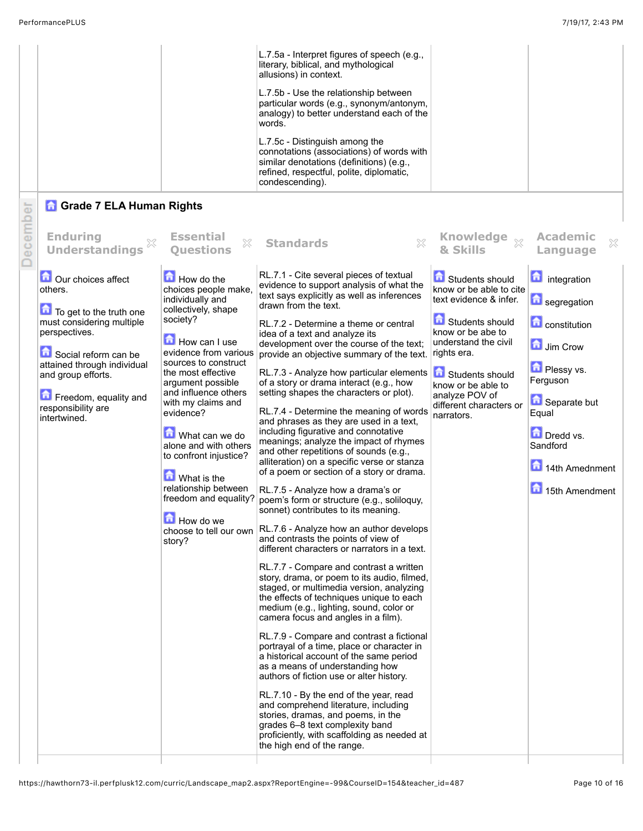|                                                                                                                                                                                                                                                             |                                                                                                                                                                                                                                                                                                                                                                                                                                                         | L.7.5a - Interpret figures of speech (e.g.,<br>literary, biblical, and mythological<br>allusions) in context.<br>L.7.5b - Use the relationship between<br>particular words (e.g., synonym/antonym,<br>analogy) to better understand each of the<br>words.<br>L.7.5c - Distinguish among the<br>connotations (associations) of words with<br>similar denotations (definitions) (e.g.,<br>refined, respectful, polite, diplomatic,<br>condescending).                                                                                                                                                                                                                                                                                                                                                                                                                                                                                                                                                                                                                                                                                                                                                                                                                                                                                                                                                                                                                                                                                                                                                                                                                                                                                                                        |                                                                                                                                                                                                                                                         |                                                                                                                                                                                                 |
|-------------------------------------------------------------------------------------------------------------------------------------------------------------------------------------------------------------------------------------------------------------|---------------------------------------------------------------------------------------------------------------------------------------------------------------------------------------------------------------------------------------------------------------------------------------------------------------------------------------------------------------------------------------------------------------------------------------------------------|----------------------------------------------------------------------------------------------------------------------------------------------------------------------------------------------------------------------------------------------------------------------------------------------------------------------------------------------------------------------------------------------------------------------------------------------------------------------------------------------------------------------------------------------------------------------------------------------------------------------------------------------------------------------------------------------------------------------------------------------------------------------------------------------------------------------------------------------------------------------------------------------------------------------------------------------------------------------------------------------------------------------------------------------------------------------------------------------------------------------------------------------------------------------------------------------------------------------------------------------------------------------------------------------------------------------------------------------------------------------------------------------------------------------------------------------------------------------------------------------------------------------------------------------------------------------------------------------------------------------------------------------------------------------------------------------------------------------------------------------------------------------------|---------------------------------------------------------------------------------------------------------------------------------------------------------------------------------------------------------------------------------------------------------|-------------------------------------------------------------------------------------------------------------------------------------------------------------------------------------------------|
| <b>G</b> Grade 7 ELA Human Rights<br>December<br><b>Enduring</b><br>X<br><b>Understandings</b>                                                                                                                                                              | <b>Essential</b><br>×<br><b>Ouestions</b>                                                                                                                                                                                                                                                                                                                                                                                                               | 53<br><b>Standards</b>                                                                                                                                                                                                                                                                                                                                                                                                                                                                                                                                                                                                                                                                                                                                                                                                                                                                                                                                                                                                                                                                                                                                                                                                                                                                                                                                                                                                                                                                                                                                                                                                                                                                                                                                                     | & Skills                                                                                                                                                                                                                                                | <b>Academic</b><br>$\mathbb{X}$<br>Language                                                                                                                                                     |
| <b>D</b> Our choices affect<br>others.<br>To get to the truth one<br>must considering multiple<br>perspectives.<br>Social reform can be<br>attained through individual<br>and group efforts.<br>Freedom, equality and<br>responsibility are<br>intertwined. | How do the<br>choices people make,<br>individually and<br>collectively, shape<br>society?<br>How can I use<br>evidence from various<br>sources to construct<br>the most effective<br>argument possible<br>and influence others<br>with my claims and<br>evidence?<br>What can we do<br>alone and with others<br>to confront injustice?<br>What is the<br>relationship between<br>freedom and equality?<br>How do we<br>choose to tell our own<br>story? | RL.7.1 - Cite several pieces of textual<br>evidence to support analysis of what the<br>text says explicitly as well as inferences<br>drawn from the text.<br>RL.7.2 - Determine a theme or central<br>idea of a text and analyze its<br>development over the course of the text;<br>provide an objective summary of the text.<br>RL.7.3 - Analyze how particular elements<br>of a story or drama interact (e.g., how<br>setting shapes the characters or plot).<br>RL.7.4 - Determine the meaning of words<br>and phrases as they are used in a text,<br>including figurative and connotative<br>meanings; analyze the impact of rhymes<br>and other repetitions of sounds (e.g.,<br>alliteration) on a specific verse or stanza<br>of a poem or section of a story or drama.<br>RL.7.5 - Analyze how a drama's or<br>poem's form or structure (e.g., soliloquy,<br>sonnet) contributes to its meaning.<br>RL.7.6 - Analyze how an author develops<br>and contrasts the points of view of<br>different characters or narrators in a text.<br>RL.7.7 - Compare and contrast a written<br>story, drama, or poem to its audio, filmed,<br>staged, or multimedia version, analyzing<br>the effects of techniques unique to each<br>medium (e.g., lighting, sound, color or<br>camera focus and angles in a film).<br>RL.7.9 - Compare and contrast a fictional<br>portrayal of a time, place or character in<br>a historical account of the same period<br>as a means of understanding how<br>authors of fiction use or alter history.<br>RL.7.10 - By the end of the year, read<br>and comprehend literature, including<br>stories, dramas, and poems, in the<br>grades 6-8 text complexity band<br>proficiently, with scaffolding as needed at<br>the high end of the range. | Students should<br>know or be able to cite<br>text evidence & infer.<br>Students should<br>know or be abe to<br>understand the civil<br>rights era.<br>Students should<br>know or be able to<br>analyze POV of<br>different characters or<br>narrators. | <b>n</b> integration<br>segregation<br><b>Constitution</b><br>Jim Crow<br><b>D</b> Plessy vs.<br>Ferguson<br>Separate but<br>Equal<br>Dredd vs.<br>Sandford<br>14th Amednment<br>15th Amendment |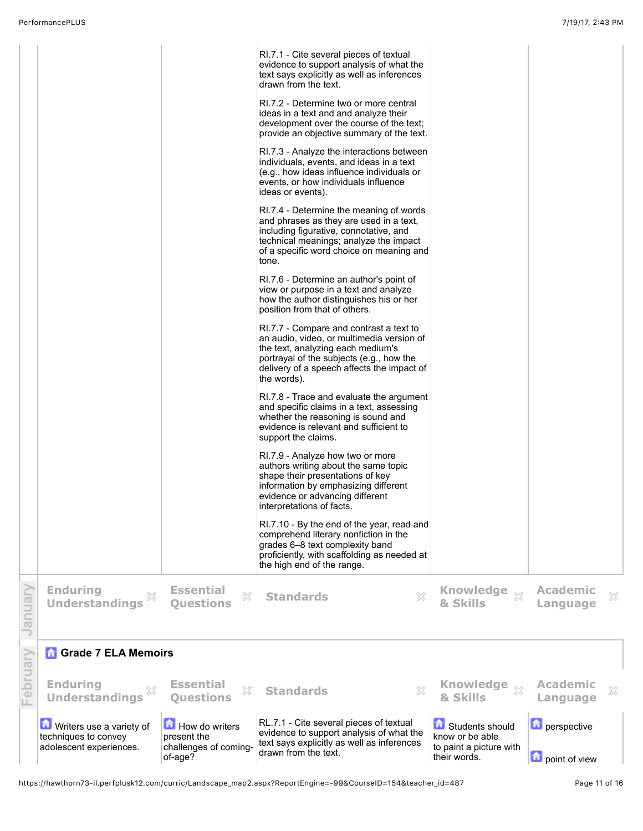|          |                                                                             |                                                                   | RI.7.1 - Cite several pieces of textual<br>evidence to support analysis of what the<br>text says explicitly as well as inferences<br>drawn from the text.<br>RI.7.2 - Determine two or more central<br>ideas in a text and and analyze their<br>development over the course of the text;<br>provide an objective summary of the text.<br>RI.7.3 - Analyze the interactions between<br>individuals, events, and ideas in a text<br>(e.g., how ideas influence individuals or<br>events, or how individuals influence<br>ideas or events).<br>RI.7.4 - Determine the meaning of words<br>and phrases as they are used in a text,<br>including figurative, connotative, and<br>technical meanings; analyze the impact<br>of a specific word choice on meaning and<br>tone.<br>RI.7.6 - Determine an author's point of<br>view or purpose in a text and analyze<br>how the author distinguishes his or her<br>position from that of others.<br>RI.7.7 - Compare and contrast a text to<br>an audio, video, or multimedia version of<br>the text, analyzing each medium's<br>portrayal of the subjects (e.g., how the<br>delivery of a speech affects the impact of<br>the words).<br>RI.7.8 - Trace and evaluate the argument<br>and specific claims in a text, assessing<br>whether the reasoning is sound and<br>evidence is relevant and sufficient to<br>support the claims.<br>RI.7.9 - Analyze how two or more<br>authors writing about the same topic<br>shape their presentations of key<br>information by emphasizing different<br>evidence or advancing different<br>interpretations of facts.<br>RI.7.10 - By the end of the year, read and<br>comprehend literary nonfiction in the<br>grades 6-8 text complexity band<br>proficiently, with scaffolding as needed at<br>the high end of the range. |                                                                               |                              |   |
|----------|-----------------------------------------------------------------------------|-------------------------------------------------------------------|-------------------------------------------------------------------------------------------------------------------------------------------------------------------------------------------------------------------------------------------------------------------------------------------------------------------------------------------------------------------------------------------------------------------------------------------------------------------------------------------------------------------------------------------------------------------------------------------------------------------------------------------------------------------------------------------------------------------------------------------------------------------------------------------------------------------------------------------------------------------------------------------------------------------------------------------------------------------------------------------------------------------------------------------------------------------------------------------------------------------------------------------------------------------------------------------------------------------------------------------------------------------------------------------------------------------------------------------------------------------------------------------------------------------------------------------------------------------------------------------------------------------------------------------------------------------------------------------------------------------------------------------------------------------------------------------------------------------------------------------------------------------------------------------------------------|-------------------------------------------------------------------------------|------------------------------|---|
| Vienuary | <b>Enduring</b><br>×<br><b>Understandings</b>                               | <b>Essential</b><br>X<br><b>Questions</b>                         | X<br><b>Standards</b>                                                                                                                                                                                                                                                                                                                                                                                                                                                                                                                                                                                                                                                                                                                                                                                                                                                                                                                                                                                                                                                                                                                                                                                                                                                                                                                                                                                                                                                                                                                                                                                                                                                                                                                                                                                       | Knowledge xx<br>& Skills                                                      | <b>Academic</b><br>Language  | X |
|          | <b>Grade 7 ELA Memoirs</b>                                                  |                                                                   |                                                                                                                                                                                                                                                                                                                                                                                                                                                                                                                                                                                                                                                                                                                                                                                                                                                                                                                                                                                                                                                                                                                                                                                                                                                                                                                                                                                                                                                                                                                                                                                                                                                                                                                                                                                                             |                                                                               |                              |   |
| February | <b>Enduring</b><br><b>Understandings</b>                                    | <b>Essential</b><br>X<br><b>Ouestions</b>                         | X<br><b>Standards</b>                                                                                                                                                                                                                                                                                                                                                                                                                                                                                                                                                                                                                                                                                                                                                                                                                                                                                                                                                                                                                                                                                                                                                                                                                                                                                                                                                                                                                                                                                                                                                                                                                                                                                                                                                                                       | <b>Knowledge</b><br>$\chi$<br>& Skills                                        | <b>Academic</b><br>Language  | X |
|          | Writers use a variety of<br>techniques to convey<br>adolescent experiences. | How do writers<br>present the<br>challenges of coming-<br>of-age? | RL.7.1 - Cite several pieces of textual<br>evidence to support analysis of what the<br>text says explicitly as well as inferences<br>drawn from the text.                                                                                                                                                                                                                                                                                                                                                                                                                                                                                                                                                                                                                                                                                                                                                                                                                                                                                                                                                                                                                                                                                                                                                                                                                                                                                                                                                                                                                                                                                                                                                                                                                                                   | Students should<br>know or be able<br>to paint a picture with<br>their words. | perspective<br>point of view |   |

https://hawthorn73-il.perfplusk12.com/curric/Landscape\_map2.aspx?ReportEngine=-99&CourseID=154&teacher\_id=487 Page 11 of 16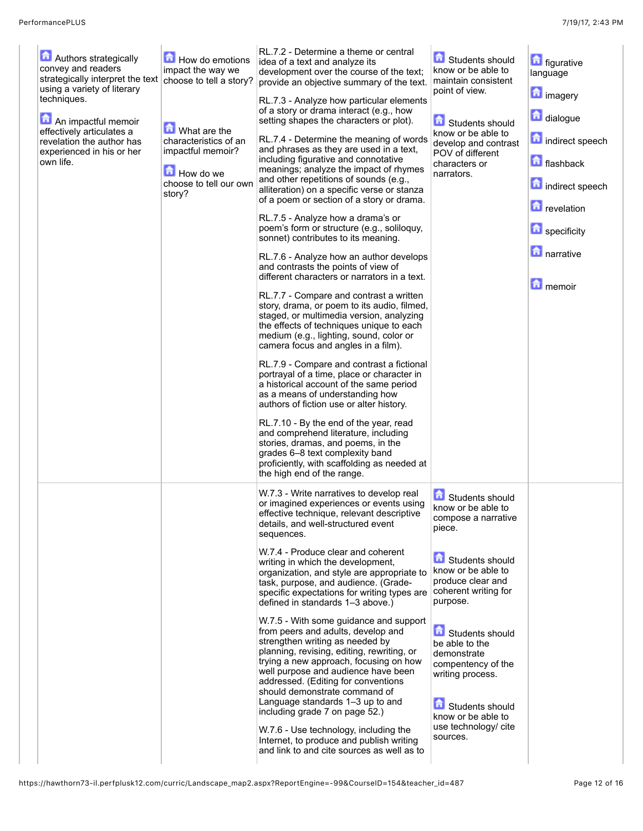| Authors strategically<br>convey and readers<br>strategically interpret the text<br>using a variety of literary<br>techniques.<br>An impactful memoir<br>effectively articulates a<br>revelation the author has<br>experienced in his or her<br>own life. | How do emotions<br>impact the way we<br>choose to tell a story?<br><b>M</b> What are the<br>characteristics of an<br>impactful memoir?<br>How do we<br>choose to tell our own<br>story? | RL.7.2 - Determine a theme or central<br>idea of a text and analyze its<br>development over the course of the text;<br>provide an objective summary of the text.<br>RL.7.3 - Analyze how particular elements<br>of a story or drama interact (e.g., how<br>setting shapes the characters or plot).<br>RL.7.4 - Determine the meaning of words<br>and phrases as they are used in a text,<br>including figurative and connotative<br>meanings; analyze the impact of rhymes<br>and other repetitions of sounds (e.g.,<br>alliteration) on a specific verse or stanza<br>of a poem or section of a story or drama.<br>RL.7.5 - Analyze how a drama's or<br>poem's form or structure (e.g., soliloquy,<br>sonnet) contributes to its meaning.<br>RL.7.6 - Analyze how an author develops<br>and contrasts the points of view of<br>different characters or narrators in a text.<br>RL.7.7 - Compare and contrast a written<br>story, drama, or poem to its audio, filmed,<br>staged, or multimedia version, analyzing<br>the effects of techniques unique to each<br>medium (e.g., lighting, sound, color or<br>camera focus and angles in a film).<br>RL.7.9 - Compare and contrast a fictional<br>portrayal of a time, place or character in<br>a historical account of the same period<br>as a means of understanding how<br>authors of fiction use or alter history.<br>RL.7.10 - By the end of the year, read<br>and comprehend literature, including<br>stories, dramas, and poems, in the<br>grades 6-8 text complexity band<br>proficiently, with scaffolding as needed at<br>the high end of the range. | Students should<br>know or be able to<br>maintain consistent<br>point of view.<br>Students should<br>know or be able to<br>develop and contrast<br>POV of different<br>characters or<br>narrators.                                                                                                                                                  | <b>in</b> figurative<br>language<br><b>n</b> imagery<br>dialogue<br>indirect speech<br>flashback<br>indirect speech<br><b>n</b> revelation<br>specificity<br><b>narrative</b><br><b>n</b> emoir |
|----------------------------------------------------------------------------------------------------------------------------------------------------------------------------------------------------------------------------------------------------------|-----------------------------------------------------------------------------------------------------------------------------------------------------------------------------------------|---------------------------------------------------------------------------------------------------------------------------------------------------------------------------------------------------------------------------------------------------------------------------------------------------------------------------------------------------------------------------------------------------------------------------------------------------------------------------------------------------------------------------------------------------------------------------------------------------------------------------------------------------------------------------------------------------------------------------------------------------------------------------------------------------------------------------------------------------------------------------------------------------------------------------------------------------------------------------------------------------------------------------------------------------------------------------------------------------------------------------------------------------------------------------------------------------------------------------------------------------------------------------------------------------------------------------------------------------------------------------------------------------------------------------------------------------------------------------------------------------------------------------------------------------------------------------------------------------------------|-----------------------------------------------------------------------------------------------------------------------------------------------------------------------------------------------------------------------------------------------------------------------------------------------------------------------------------------------------|-------------------------------------------------------------------------------------------------------------------------------------------------------------------------------------------------|
|                                                                                                                                                                                                                                                          |                                                                                                                                                                                         | W.7.3 - Write narratives to develop real<br>or imagined experiences or events using<br>effective technique, relevant descriptive<br>details, and well-structured event<br>sequences.<br>W.7.4 - Produce clear and coherent<br>writing in which the development,<br>organization, and style are appropriate to<br>task, purpose, and audience. (Grade-<br>specific expectations for writing types are<br>defined in standards 1-3 above.)<br>W.7.5 - With some guidance and support<br>from peers and adults, develop and<br>strengthen writing as needed by<br>planning, revising, editing, rewriting, or<br>trying a new approach, focusing on how<br>well purpose and audience have been<br>addressed. (Editing for conventions<br>should demonstrate command of<br>Language standards 1-3 up to and<br>including grade 7 on page 52.)<br>W.7.6 - Use technology, including the<br>Internet, to produce and publish writing<br>and link to and cite sources as well as to                                                                                                                                                                                                                                                                                                                                                                                                                                                                                                                                                                                                                                   | Students should<br>know or be able to<br>compose a narrative<br>piece.<br>Students should<br>know or be able to<br>produce clear and<br>coherent writing for<br>purpose.<br>Students should<br>be able to the<br>demonstrate<br>compentency of the<br>writing process.<br>Students should<br>know or be able to<br>use technology/ cite<br>sources. |                                                                                                                                                                                                 |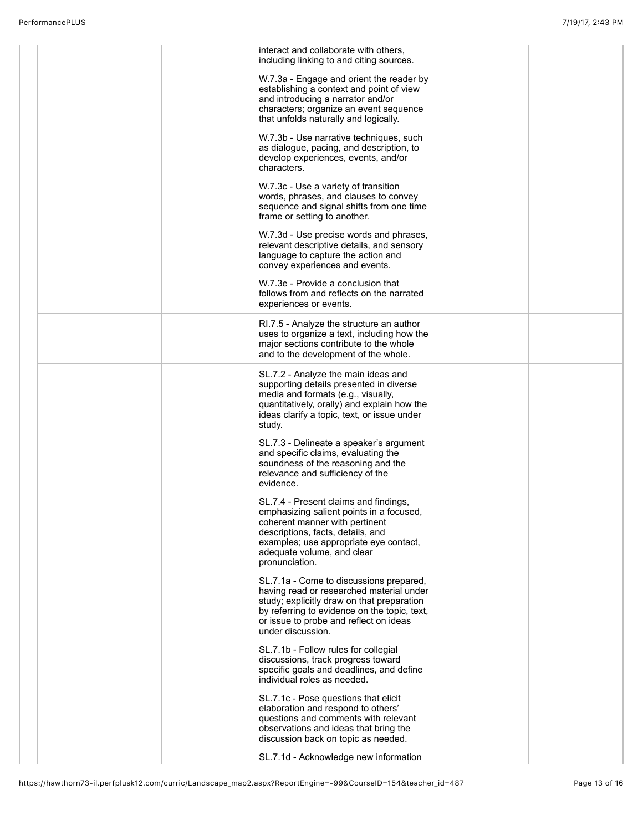|  | interact and collaborate with others,<br>including linking to and citing sources.                                                                                                                                                                  |  |
|--|----------------------------------------------------------------------------------------------------------------------------------------------------------------------------------------------------------------------------------------------------|--|
|  | W.7.3a - Engage and orient the reader by<br>establishing a context and point of view<br>and introducing a narrator and/or<br>characters; organize an event sequence<br>that unfolds naturally and logically.                                       |  |
|  | W.7.3b - Use narrative techniques, such<br>as dialogue, pacing, and description, to<br>develop experiences, events, and/or<br>characters.                                                                                                          |  |
|  | W.7.3c - Use a variety of transition<br>words, phrases, and clauses to convey<br>sequence and signal shifts from one time<br>frame or setting to another.                                                                                          |  |
|  | W.7.3d - Use precise words and phrases,<br>relevant descriptive details, and sensory<br>language to capture the action and<br>convey experiences and events.                                                                                       |  |
|  | W.7.3e - Provide a conclusion that<br>follows from and reflects on the narrated<br>experiences or events.                                                                                                                                          |  |
|  | RI.7.5 - Analyze the structure an author<br>uses to organize a text, including how the<br>major sections contribute to the whole<br>and to the development of the whole.                                                                           |  |
|  | SL.7.2 - Analyze the main ideas and<br>supporting details presented in diverse<br>media and formats (e.g., visually,<br>quantitatively, orally) and explain how the<br>ideas clarify a topic, text, or issue under<br>study.                       |  |
|  | SL.7.3 - Delineate a speaker's argument<br>and specific claims, evaluating the<br>soundness of the reasoning and the<br>relevance and sufficiency of the<br>evidence.                                                                              |  |
|  | SL.7.4 - Present claims and findings,<br>emphasizing salient points in a focused,<br>coherent manner with pertinent<br>descriptions, facts, details, and<br>examples; use appropriate eye contact,<br>adequate volume, and clear<br>pronunciation. |  |
|  | SL.7.1a - Come to discussions prepared,<br>having read or researched material under<br>study; explicitly draw on that preparation<br>by referring to evidence on the topic, text,<br>or issue to probe and reflect on ideas<br>under discussion.   |  |
|  | SL.7.1b - Follow rules for collegial<br>discussions, track progress toward<br>specific goals and deadlines, and define<br>individual roles as needed.                                                                                              |  |
|  | SL.7.1c - Pose questions that elicit<br>elaboration and respond to others'<br>questions and comments with relevant<br>observations and ideas that bring the<br>discussion back on topic as needed.                                                 |  |
|  | SL.7.1d - Acknowledge new information                                                                                                                                                                                                              |  |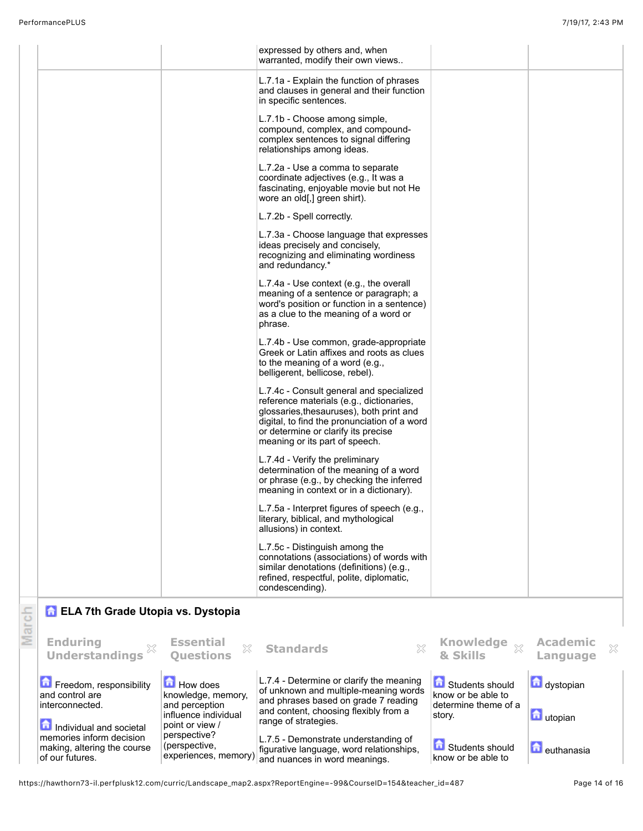| Freedom, responsibility<br>and control are<br>interconnected.<br>6.<br>Individual and societal<br>memories inform decision | <b>How does</b><br>knowledge, memory,<br>and perception<br>influence individual<br>point or view /<br>perspective? | L.7.4 - Determine or clarify the meaning<br>of unknown and multiple-meaning words<br>and phrases based on grade 7 reading<br>and content, choosing flexibly from a<br>range of strategies.<br>75 Demonstrate understanding of | Students should<br>know or be able to<br>determine theme of a<br>story. | dystopian<br>utopian             |
|----------------------------------------------------------------------------------------------------------------------------|--------------------------------------------------------------------------------------------------------------------|-------------------------------------------------------------------------------------------------------------------------------------------------------------------------------------------------------------------------------|-------------------------------------------------------------------------|----------------------------------|
| <b>A ELA 7th Grade Utopia vs. Dystopia</b><br><b>Enduring</b><br><b>Understandings</b>                                     | <b>Essential</b><br>X<br><b>Questions</b>                                                                          | X<br><b>Standards</b>                                                                                                                                                                                                         | <b>Knowledge</b><br>& Skills                                            | <b>Academic</b><br>×<br>Language |
|                                                                                                                            |                                                                                                                    | L.7.5c - Distinguish among the<br>connotations (associations) of words with<br>similar denotations (definitions) (e.g.,<br>refined, respectful, polite, diplomatic,<br>condescending).                                        |                                                                         |                                  |
|                                                                                                                            |                                                                                                                    | meaning in context or in a dictionary).<br>L.7.5a - Interpret figures of speech (e.g.,<br>literary, biblical, and mythological<br>allusions) in context.                                                                      |                                                                         |                                  |
|                                                                                                                            |                                                                                                                    | meaning or its part of speech.<br>L.7.4d - Verify the preliminary<br>determination of the meaning of a word<br>or phrase (e.g., by checking the inferred                                                                      |                                                                         |                                  |
|                                                                                                                            |                                                                                                                    | L.7.4c - Consult general and specialized<br>reference materials (e.g., dictionaries,<br>glossaries, thesauruses), both print and<br>digital, to find the pronunciation of a word<br>or determine or clarify its precise       |                                                                         |                                  |
|                                                                                                                            |                                                                                                                    | L.7.4b - Use common, grade-appropriate<br>Greek or Latin affixes and roots as clues<br>to the meaning of a word (e.g.,<br>belligerent, bellicose, rebel).                                                                     |                                                                         |                                  |
|                                                                                                                            |                                                                                                                    | L.7.4a - Use context (e.g., the overall<br>meaning of a sentence or paragraph; a<br>word's position or function in a sentence)<br>as a clue to the meaning of a word or<br>phrase.                                            |                                                                         |                                  |
|                                                                                                                            |                                                                                                                    | L.7.3a - Choose language that expresses<br>ideas precisely and concisely,<br>recognizing and eliminating wordiness<br>and redundancy.*                                                                                        |                                                                         |                                  |
|                                                                                                                            |                                                                                                                    | L.7.2a - Use a comma to separate<br>coordinate adjectives (e.g., It was a<br>fascinating, enjoyable movie but not He<br>wore an old[,] green shirt).<br>L.7.2b - Spell correctly.                                             |                                                                         |                                  |
|                                                                                                                            |                                                                                                                    | L.7.1b - Choose among simple,<br>compound, complex, and compound-<br>complex sentences to signal differing<br>relationships among ideas.                                                                                      |                                                                         |                                  |
|                                                                                                                            |                                                                                                                    | L.7.1a - Explain the function of phrases<br>and clauses in general and their function<br>in specific sentences.                                                                                                               |                                                                         |                                  |
|                                                                                                                            |                                                                                                                    | expressed by others and, when<br>warranted, modify their own views                                                                                                                                                            |                                                                         |                                  |

L.7.5 - Demonstrate understanding of figurative language, word relationships, and nuances in word meanings.

https://hawthorn73-il.perfplusk12.com/curric/Landscape\_map2.aspx?ReportEngine=-99&CourseID=154&teacher\_id=487 Page 14 of 16

(perspective,

experiences, memory)

memories inform decision making, altering the course

of our futures.

**n** euthanasia

**Students should** know or be able to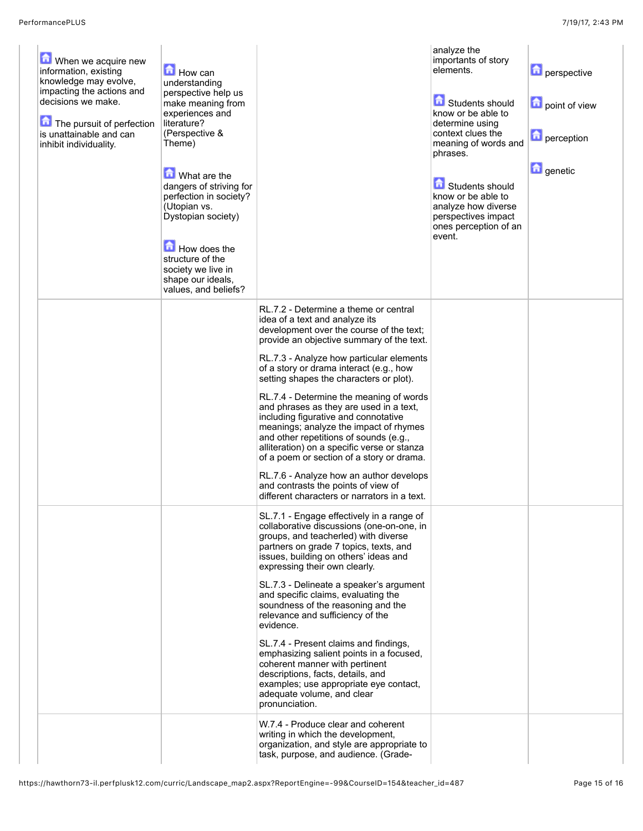| When we acquire new<br>information, existing<br>knowledge may evolve,<br>impacting the actions and<br>decisions we make.<br>The pursuit of perfection<br>is unattainable and can<br>inhibit individuality. | How can<br>understanding<br>perspective help us<br>make meaning from<br>experiences and<br>literature?<br>(Perspective &<br>Theme)<br>What are the<br>dangers of striving for<br>perfection in society?<br>(Utopian vs.<br>Dystopian society)<br>How does the<br>structure of the<br>society we live in |                                                                                                                                                                                                                                                                                                            | analyze the<br>importants of story<br>elements.<br>Students should<br>know or be able to<br>determine using<br>context clues the<br>meaning of words and<br>phrases.<br>Students should<br>know or be able to<br>analyze how diverse<br>perspectives impact<br>ones perception of an<br>event. | <b>D</b> perspective<br>point of view<br>perception<br><b>D</b> genetic |
|------------------------------------------------------------------------------------------------------------------------------------------------------------------------------------------------------------|---------------------------------------------------------------------------------------------------------------------------------------------------------------------------------------------------------------------------------------------------------------------------------------------------------|------------------------------------------------------------------------------------------------------------------------------------------------------------------------------------------------------------------------------------------------------------------------------------------------------------|------------------------------------------------------------------------------------------------------------------------------------------------------------------------------------------------------------------------------------------------------------------------------------------------|-------------------------------------------------------------------------|
|                                                                                                                                                                                                            | shape our ideals,<br>values, and beliefs?                                                                                                                                                                                                                                                               |                                                                                                                                                                                                                                                                                                            |                                                                                                                                                                                                                                                                                                |                                                                         |
|                                                                                                                                                                                                            |                                                                                                                                                                                                                                                                                                         | RL.7.2 - Determine a theme or central<br>idea of a text and analyze its<br>development over the course of the text;<br>provide an objective summary of the text.<br>RL.7.3 - Analyze how particular elements                                                                                               |                                                                                                                                                                                                                                                                                                |                                                                         |
|                                                                                                                                                                                                            |                                                                                                                                                                                                                                                                                                         | of a story or drama interact (e.g., how<br>setting shapes the characters or plot).                                                                                                                                                                                                                         |                                                                                                                                                                                                                                                                                                |                                                                         |
|                                                                                                                                                                                                            |                                                                                                                                                                                                                                                                                                         | RL.7.4 - Determine the meaning of words<br>and phrases as they are used in a text,<br>including figurative and connotative<br>meanings; analyze the impact of rhymes<br>and other repetitions of sounds (e.g.,<br>alliteration) on a specific verse or stanza<br>of a poem or section of a story or drama. |                                                                                                                                                                                                                                                                                                |                                                                         |
|                                                                                                                                                                                                            |                                                                                                                                                                                                                                                                                                         | RL.7.6 - Analyze how an author develops<br>and contrasts the points of view of<br>different characters or narrators in a text.                                                                                                                                                                             |                                                                                                                                                                                                                                                                                                |                                                                         |
|                                                                                                                                                                                                            |                                                                                                                                                                                                                                                                                                         | SL.7.1 - Engage effectively in a range of<br>collaborative discussions (one-on-one, in<br>groups, and teacherled) with diverse<br>partners on grade 7 topics, texts, and<br>issues, building on others' ideas and<br>expressing their own clearly.                                                         |                                                                                                                                                                                                                                                                                                |                                                                         |
|                                                                                                                                                                                                            |                                                                                                                                                                                                                                                                                                         | SL.7.3 - Delineate a speaker's argument<br>and specific claims, evaluating the<br>soundness of the reasoning and the<br>relevance and sufficiency of the<br>evidence.                                                                                                                                      |                                                                                                                                                                                                                                                                                                |                                                                         |
|                                                                                                                                                                                                            |                                                                                                                                                                                                                                                                                                         | SL.7.4 - Present claims and findings,<br>emphasizing salient points in a focused,<br>coherent manner with pertinent<br>descriptions, facts, details, and<br>examples; use appropriate eye contact,<br>adequate volume, and clear<br>pronunciation.                                                         |                                                                                                                                                                                                                                                                                                |                                                                         |
|                                                                                                                                                                                                            |                                                                                                                                                                                                                                                                                                         | W.7.4 - Produce clear and coherent<br>writing in which the development,<br>organization, and style are appropriate to<br>task, purpose, and audience. (Grade-                                                                                                                                              |                                                                                                                                                                                                                                                                                                |                                                                         |